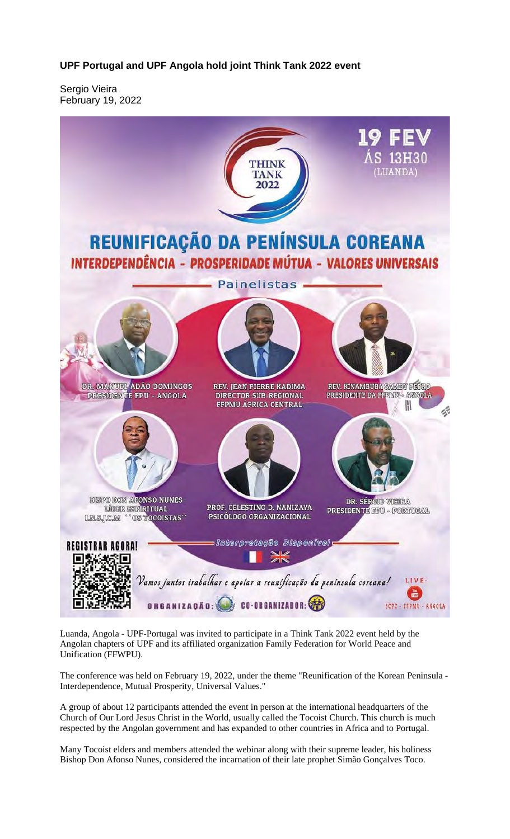**UPF Portugal and UPF Angola hold joint Think Tank 2022 event**

Sergio Vieira February 19, 2022



Luanda, Angola - UPF-Portugal was invited to participate in a Think Tank 2022 event held by the Angolan chapters of UPF and its affiliated organization Family Federation for World Peace and Unification (FFWPU).

The conference was held on February 19, 2022, under the theme "Reunification of the Korean Peninsula - Interdependence, Mutual Prosperity, Universal Values."

A group of about 12 participants attended the event in person at the international headquarters of the Church of Our Lord Jesus Christ in the World, usually called the Tocoist Church. This church is much respected by the Angolan government and has expanded to other countries in Africa and to Portugal.

Many Tocoist elders and members attended the webinar along with their supreme leader, his holiness Bishop Don Afonso Nunes, considered the incarnation of their late prophet Simão Gonçalves Toco.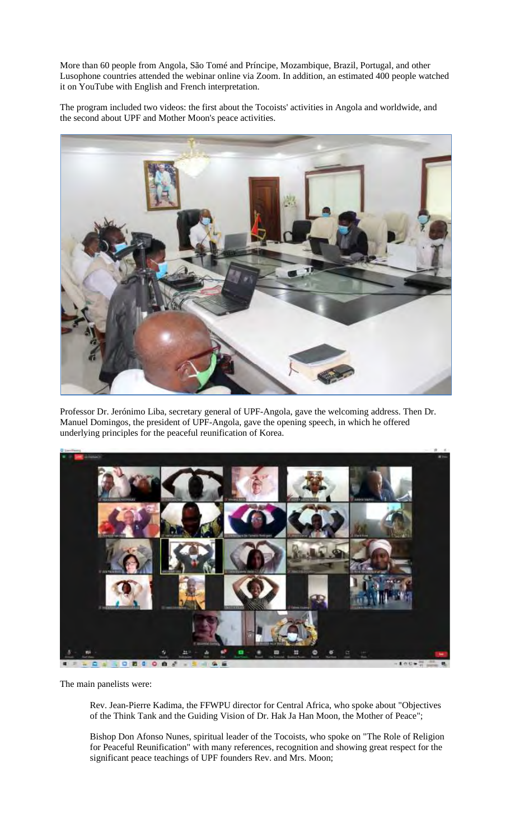More than 60 people from Angola, São Tomé and Príncipe, Mozambique, Brazil, Portugal, and other Lusophone countries attended the webinar online via Zoom. In addition, an estimated 400 people watched it on YouTube with English and French interpretation.

The program included two videos: the first about the Tocoists' activities in Angola and worldwide, and the second about UPF and Mother Moon's peace activities.



Professor Dr. Jerónimo Liba, secretary general of UPF-Angola, gave the welcoming address. Then Dr. Manuel Domingos, the president of UPF-Angola, gave the opening speech, in which he offered underlying principles for the peaceful reunification of Korea.



The main panelists were:

Rev. Jean-Pierre Kadima, the FFWPU director for Central Africa, who spoke about "Objectives of the Think Tank and the Guiding Vision of Dr. Hak Ja Han Moon, the Mother of Peace";

Bishop Don Afonso Nunes, spiritual leader of the Tocoists, who spoke on "The Role of Religion for Peaceful Reunification" with many references, recognition and showing great respect for the significant peace teachings of UPF founders Rev. and Mrs. Moon;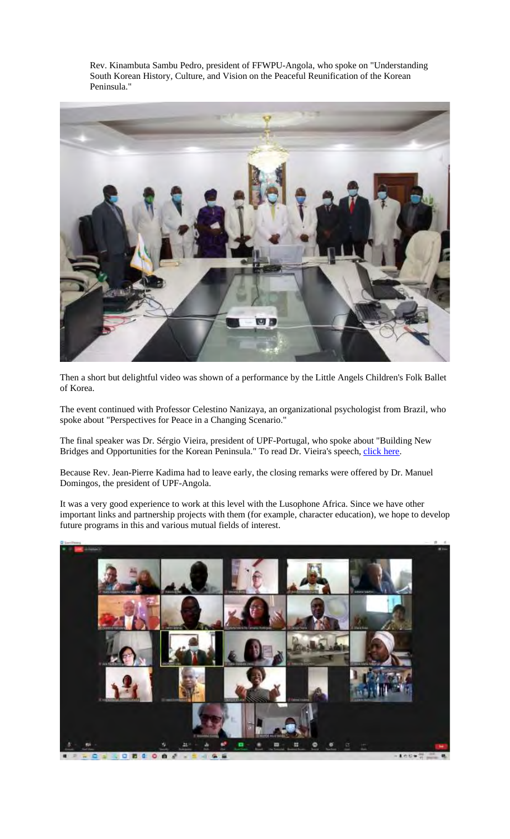Rev. Kinambuta Sambu Pedro, president of FFWPU-Angola, who spoke on "Understanding South Korean History, Culture, and Vision on the Peaceful Reunification of the Korean Peninsula."



Then a short but delightful video was shown of a performance by the Little Angels Children's Folk Ballet of Korea.

The event continued with Professor Celestino Nanizaya, an organizational psychologist from Brazil, who spoke about "Perspectives for Peace in a Changing Scenario."

The final speaker was Dr. Sérgio Vieira, president of UPF-Portugal, who spoke about "Building New Bridges and Opportunities for the Korean Peninsula." To read Dr. Vieira's speech, click here.

Because Rev. Jean-Pierre Kadima had to leave early, the closing remarks were offered by Dr. Manuel Domingos, the president of UPF-Angola.

It was a very good experience to work at this level with the Lusophone Africa. Since we have other important links and partnership projects with them (for example, character education), we hope to develop future programs in this and various mutual fields of interest.

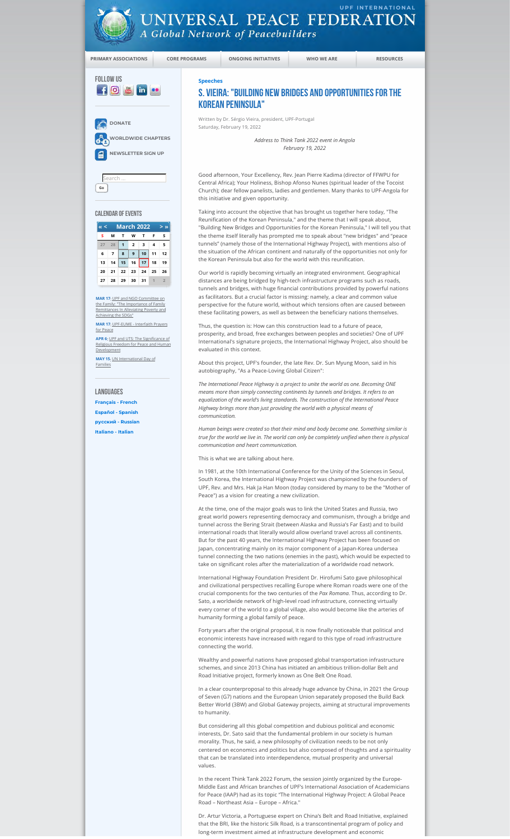

**Search Go**

CALENDAR OF EVENTS

**DONATE** 

FOLLOW US<br> **f** © <mark>& in ••</mark>

**WORLDWIDE CHAPTERS NEWSLETTER SIGN UP**

**UNIVERSAL PEACE FEDERATION** A Global Network of Peacebuilders

**PRIMARY ASSOCIATIONS CORE PROGRAMS ONGOING INITIATIVES WHO WE ARE RESOURCES**

**Speeches**

## S. Vieira: "Building New Bridges and Opportunities for the Korean Peninsula"

Written by Dr. Sérgio Vieira, president, UPF-Portugal Saturday, February 19, 2022

> *Address to Think Tank 2022 event in Angola February 19, 2022*

Good afternoon, Your Excellency, Rev. Jean Pierre Kadima (director of FFWPU for Central Africa); Your Holiness, Bishop Afonso Nunes (spiritual leader of the Tocoist Church); dear fellow panelists, ladies and gentlemen. Many thanks to UPF-Angola for this initiative and given opportunity.

Taking into account the objective that has brought us together here today, "The Reunification of the Korean Peninsula," and the theme that I will speak about, "Building New Bridges and Opportunities for the Korean Peninsula," I will tell you that the theme itself literally has prompted me to speak about "new bridges" and "peace tunnels" (namely those of the International Highway Project), with mentions also of the situation of the African continent and naturally of the opportunities not only for the Korean Peninsula but also for the world with this reunification.

Our world is rapidly becoming virtually an integrated environment. Geographical distances are being bridged by high-tech infrastructure programs such as roads, tunnels and bridges, with huge financial contributions provided by powerful nations as facilitators. But a crucial factor is missing: namely, a clear and common value perspective for the future world, without which tensions often are caused between these facilitating powers, as well as between the beneficiary nations themselves.

Thus, the question is: How can this construction lead to a future of peace, prosperity, and broad, free exchanges between peoples and societies? One of UPF International's signature projects, the International Highway Project, also should be evaluated in this context.

About this project, UPF's founder, the late Rev. Dr. Sun Myung Moon, said in his autobiography, "As a Peace-Loving Global Citizen":

*The International Peace Highway is a project to unite the world as one. Becoming ONE means more than simply connecting continents by tunnels and bridges. It refers to an equalization of the world's living standards. The construction of the International Peace Highway brings more than just providing the world with a physical means of communication.*

*Human beings were created so that their mind and body become one. Something similar is true for the world we live in. The world can only be completely unified when there is physical communication and heart communication.*

This is what we are talking about here.

In 1981, at the 10th International Conference for the Unity of the Sciences in Seoul, South Korea, the International Highway Project was championed by the founders of UPF, Rev. and Mrs. Hak Ja Han Moon (today considered by many to be the "Mother of Peace") as a vision for creating a new civilization.

At the time, one of the major goals was to link the United States and Russia, two great world powers representing democracy and communism, through a bridge and tunnel across the Bering Strait (between Alaska and Russia's Far East) and to build international roads that literally would allow overland travel across all continents. But for the past 40 years, the International Highway Project has been focused on Japan, concentrating mainly on its major component of a Japan-Korea undersea tunnel connecting the two nations (enemies in the past), which would be expected to take on significant roles after the materialization of a worldwide road network.

International Highway Foundation President Dr. Hirofumi Sato gave philosophical and civilizational perspectives recalling Europe where Roman roads were one of the crucial components for the two centuries of the *Pax Romana*. Thus, according to Dr. Sato, a worldwide network of high-level road infrastructure, connecting virtually every corner of the world to a global village, also would become like the arteries of humanity forming a global family of peace.

Forty years after the original proposal, it is now finally noticeable that political and economic interests have increased with regard to this type of road infrastructure connecting the world.

Wealthy and powerful nations have proposed global transportation infrastructure schemes, and since 2013 China has initiated an ambitious trillion-dollar Belt and Road Initiative project, formerly known as One Belt One Road.

In a clear counterproposal to this already huge advance by China, in 2021 the Group of Seven (G7) nations and the European Union separately proposed the Build Back Better World (3BW) and Global Gateway projects, aiming at structural improvements to humanity.

But considering all this global competition and dubious political and economic interests, Dr. Sato said that the fundamental problem in our society is human morality. Thus, he said, a new philosophy of civilization needs to be not only centered on economics and politics but also composed of thoughts and a spirituality that can be translated into interdependence, mutual prosperity and universal values.

In the recent Think Tank 2022 Forum, the session jointly organized by the Europe-Middle East and African branches of UPF's International Association of Academicians for Peace (IAAP) had as its topic "The International Highway Project: A Global Peace Road – Northeast Asia – Europe – Africa."

Dr. Artur Victoria, a Portuguese expert on China's Belt and Road Initiative, explained that the BRI, like the historic Silk Road, is a transcontinental program of policy and long-term investment aimed at infrastructure development and economic

**LANGUAGES** 

for Peace

Development

Families

**MAR 17:** <u>UPF and NGO Committee on</u><br>the Family: "The Importance of Family<br>Remittances In Alleviating Poverty and<br>Achieving the SDGs" **MAR 17**: UPF-EUME - Interfaith Prayers

**« < March 2022 > » S M T W T F S 28 1 2 3 4 5 7 8 9 10 11 12 14 15 16 17 18 19 21 22 23 24 25 26 28 29 30 31 1 2**

**APR 6**: UPF and UTS: The Significance of Religious Freedom for Peace and Human

**MAY 15**: UN International Day of

**Français - French Español - Spanish русский - Russian Italiano - Italian**